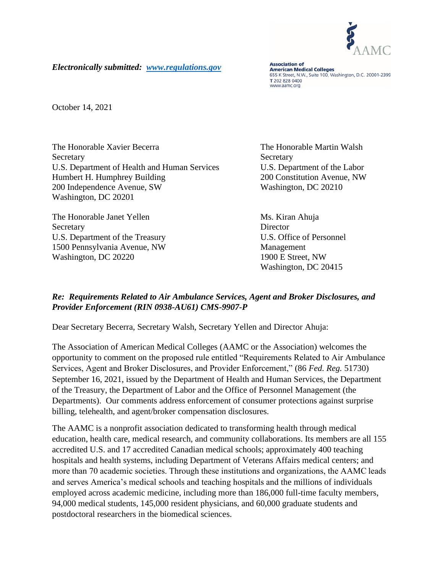

*Electronically submitted: [www.regulations.gov](http://www.regulations.gov/)*

**Association of American Medical Colleges** 655 K Street, N.W., Suite 100, Washington, D.C. 20001-2399 T 202 828 0400 www.aamc.org

October 14, 2021

The Honorable Xavier Becerra The Honorable Martin Walsh Secretary Secretary Secretary Secretary Secretary Secretary Secretary Secretary Secretary Secretary Secretary Secretary Secretary Secretary Secretary Secretary Secretary Secretary Secretary Secretary Secretary Secretary Se U.S. Department of Health and Human Services U.S. Department of the Labor Humbert H. Humphrey Building 200 Constitution Avenue, NW 200 Independence Avenue, SW Washington, DC 20210 Washington, DC 20201

The Honorable Janet Yellen Ms. Kiran Ahuja Secretary Director U.S. Department of the Treasury U.S. Office of Personnel 1500 Pennsylvania Avenue, NW Management Washington, DC 20220 1900 E Street, NW

Washington, DC 20415

## *Re: Requirements Related to Air Ambulance Services, Agent and Broker Disclosures, and Provider Enforcement (RIN 0938-AU61) CMS-9907-P*

Dear Secretary Becerra, Secretary Walsh, Secretary Yellen and Director Ahuja:

The Association of American Medical Colleges (AAMC or the Association) welcomes the opportunity to comment on the proposed rule entitled "Requirements Related to Air Ambulance Services, Agent and Broker Disclosures, and Provider Enforcement," (86 *Fed. Reg.* 51730) September 16, 2021, issued by the Department of Health and Human Services, the Department of the Treasury, the Department of Labor and the Office of Personnel Management (the Departments). Our comments address enforcement of consumer protections against surprise billing, telehealth, and agent/broker compensation disclosures.

The AAMC is a nonprofit association dedicated to transforming health through medical education, health care, medical research, and community collaborations. Its members are all 155 accredited U.S. and 17 accredited Canadian medical schools; approximately 400 teaching hospitals and health systems, including Department of Veterans Affairs medical centers; and more than 70 academic societies. Through these institutions and organizations, the AAMC leads and serves America's medical schools and teaching hospitals and the millions of individuals employed across academic medicine, including more than 186,000 full-time faculty members, 94,000 medical students, 145,000 resident physicians, and 60,000 graduate students and postdoctoral researchers in the biomedical sciences.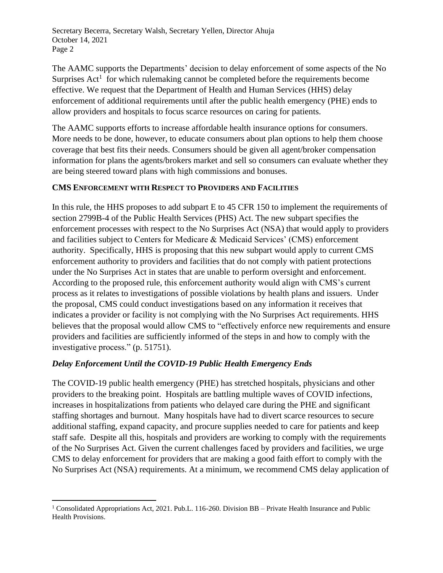The AAMC supports the Departments' decision to delay enforcement of some aspects of the No Surprises  $Act<sup>1</sup>$  for which rulemaking cannot be completed before the requirements become effective. We request that the Department of Health and Human Services (HHS) delay enforcement of additional requirements until after the public health emergency (PHE) ends to allow providers and hospitals to focus scarce resources on caring for patients.

The AAMC supports efforts to increase affordable health insurance options for consumers. More needs to be done, however, to educate consumers about plan options to help them choose coverage that best fits their needs. Consumers should be given all agent/broker compensation information for plans the agents/brokers market and sell so consumers can evaluate whether they are being steered toward plans with high commissions and bonuses.

## **CMS ENFORCEMENT WITH RESPECT TO PROVIDERS AND FACILITIES**

In this rule, the HHS proposes to add subpart E to 45 CFR 150 to implement the requirements of section 2799B-4 of the Public Health Services (PHS) Act. The new subpart specifies the enforcement processes with respect to the No Surprises Act (NSA) that would apply to providers and facilities subject to Centers for Medicare & Medicaid Services' (CMS) enforcement authority. Specifically, HHS is proposing that this new subpart would apply to current CMS enforcement authority to providers and facilities that do not comply with patient protections under the No Surprises Act in states that are unable to perform oversight and enforcement. According to the proposed rule, this enforcement authority would align with CMS's current process as it relates to investigations of possible violations by health plans and issuers. Under the proposal, CMS could conduct investigations based on any information it receives that indicates a provider or facility is not complying with the No Surprises Act requirements. HHS believes that the proposal would allow CMS to "effectively enforce new requirements and ensure providers and facilities are sufficiently informed of the steps in and how to comply with the investigative process." (p. 51751).

# *Delay Enforcement Until the COVID-19 Public Health Emergency Ends*

The COVID-19 public health emergency (PHE) has stretched hospitals, physicians and other providers to the breaking point. Hospitals are battling multiple waves of COVID infections, increases in hospitalizations from patients who delayed care during the PHE and significant staffing shortages and burnout. Many hospitals have had to divert scarce resources to secure additional staffing, expand capacity, and procure supplies needed to care for patients and keep staff safe. Despite all this, hospitals and providers are working to comply with the requirements of the No Surprises Act. Given the current challenges faced by providers and facilities, we urge CMS to delay enforcement for providers that are making a good faith effort to comply with the No Surprises Act (NSA) requirements. At a minimum, we recommend CMS delay application of

<sup>&</sup>lt;sup>1</sup> Consolidated Appropriations Act, 2021. Pub.L. 116-260. Division BB – Private Health Insurance and Public Health Provisions.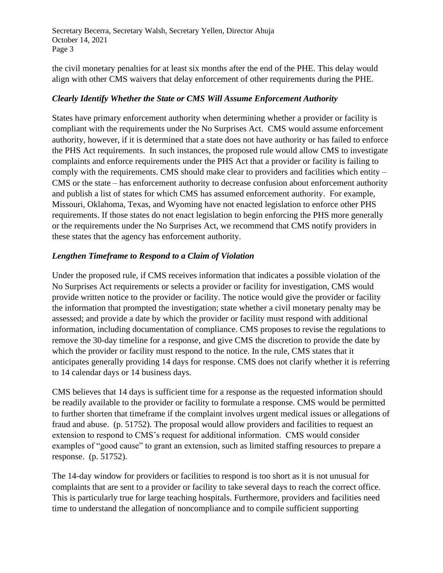the civil monetary penalties for at least six months after the end of the PHE. This delay would align with other CMS waivers that delay enforcement of other requirements during the PHE.

## *Clearly Identify Whether the State or CMS Will Assume Enforcement Authority*

States have primary enforcement authority when determining whether a provider or facility is compliant with the requirements under the No Surprises Act. CMS would assume enforcement authority, however, if it is determined that a state does not have authority or has failed to enforce the PHS Act requirements. In such instances, the proposed rule would allow CMS to investigate complaints and enforce requirements under the PHS Act that a provider or facility is failing to comply with the requirements. CMS should make clear to providers and facilities which entity – CMS or the state – has enforcement authority to decrease confusion about enforcement authority and publish a list of states for which CMS has assumed enforcement authority. For example, Missouri, Oklahoma, Texas, and Wyoming have not enacted legislation to enforce other PHS requirements. If those states do not enact legislation to begin enforcing the PHS more generally or the requirements under the No Surprises Act, we recommend that CMS notify providers in these states that the agency has enforcement authority.

## *Lengthen Timeframe to Respond to a Claim of Violation*

Under the proposed rule, if CMS receives information that indicates a possible violation of the No Surprises Act requirements or selects a provider or facility for investigation, CMS would provide written notice to the provider or facility. The notice would give the provider or facility the information that prompted the investigation; state whether a civil monetary penalty may be assessed; and provide a date by which the provider or facility must respond with additional information, including documentation of compliance. CMS proposes to revise the regulations to remove the 30-day timeline for a response, and give CMS the discretion to provide the date by which the provider or facility must respond to the notice. In the rule, CMS states that it anticipates generally providing 14 days for response. CMS does not clarify whether it is referring to 14 calendar days or 14 business days.

CMS believes that 14 days is sufficient time for a response as the requested information should be readily available to the provider or facility to formulate a response. CMS would be permitted to further shorten that timeframe if the complaint involves urgent medical issues or allegations of fraud and abuse. (p. 51752). The proposal would allow providers and facilities to request an extension to respond to CMS's request for additional information. CMS would consider examples of "good cause" to grant an extension, such as limited staffing resources to prepare a response. (p. 51752).

The 14-day window for providers or facilities to respond is too short as it is not unusual for complaints that are sent to a provider or facility to take several days to reach the correct office. This is particularly true for large teaching hospitals. Furthermore, providers and facilities need time to understand the allegation of noncompliance and to compile sufficient supporting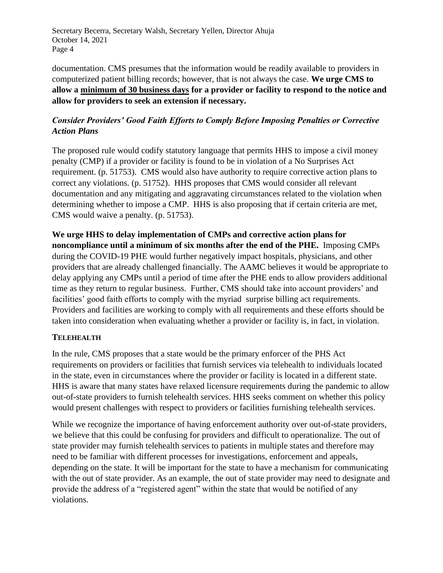documentation. CMS presumes that the information would be readily available to providers in computerized patient billing records; however, that is not always the case. **We urge CMS to allow a minimum of 30 business days for a provider or facility to respond to the notice and allow for providers to seek an extension if necessary.**

# *Consider Providers' Good Faith Efforts to Comply Before Imposing Penalties or Corrective Action Plans*

The proposed rule would codify statutory language that permits HHS to impose a civil money penalty (CMP) if a provider or facility is found to be in violation of a No Surprises Act requirement. (p. 51753). CMS would also have authority to require corrective action plans to correct any violations. (p. 51752). HHS proposes that CMS would consider all relevant documentation and any mitigating and aggravating circumstances related to the violation when determining whether to impose a CMP. HHS is also proposing that if certain criteria are met, CMS would waive a penalty. (p. 51753).

**We urge HHS to delay implementation of CMPs and corrective action plans for noncompliance until a minimum of six months after the end of the PHE.** Imposing CMPs during the COVID-19 PHE would further negatively impact hospitals, physicians, and other providers that are already challenged financially. The AAMC believes it would be appropriate to delay applying any CMPs until a period of time after the PHE ends to allow providers additional time as they return to regular business. Further, CMS should take into account providers' and facilities' good faith efforts to comply with the myriad surprise billing act requirements. Providers and facilities are working to comply with all requirements and these efforts should be taken into consideration when evaluating whether a provider or facility is, in fact, in violation.

## **TELEHEALTH**

In the rule, CMS proposes that a state would be the primary enforcer of the PHS Act requirements on providers or facilities that furnish services via telehealth to individuals located in the state, even in circumstances where the provider or facility is located in a different state. HHS is aware that many states have relaxed licensure requirements during the pandemic to allow out-of-state providers to furnish telehealth services. HHS seeks comment on whether this policy would present challenges with respect to providers or facilities furnishing telehealth services.

While we recognize the importance of having enforcement authority over out-of-state providers, we believe that this could be confusing for providers and difficult to operationalize. The out of state provider may furnish telehealth services to patients in multiple states and therefore may need to be familiar with different processes for investigations, enforcement and appeals, depending on the state. It will be important for the state to have a mechanism for communicating with the out of state provider. As an example, the out of state provider may need to designate and provide the address of a "registered agent" within the state that would be notified of any violations.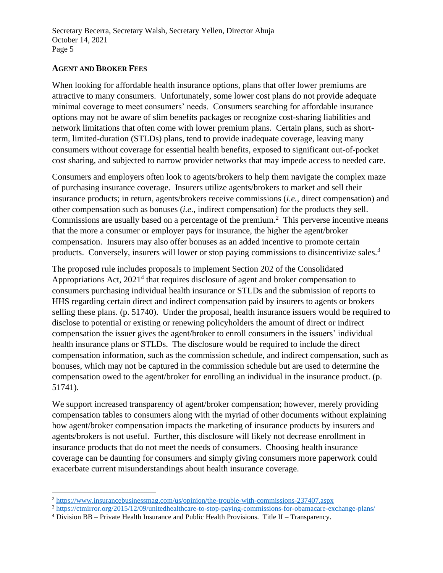#### **AGENT AND BROKER FEES**

When looking for affordable health insurance options, plans that offer lower premiums are attractive to many consumers. Unfortunately, some lower cost plans do not provide adequate minimal coverage to meet consumers' needs. Consumers searching for affordable insurance options may not be aware of slim benefits packages or recognize cost-sharing liabilities and network limitations that often come with lower premium plans. Certain plans, such as shortterm, limited-duration (STLDs) plans, tend to provide inadequate coverage, leaving many consumers without coverage for essential health benefits, exposed to significant out-of-pocket cost sharing, and subjected to narrow provider networks that may impede access to needed care.

Consumers and employers often look to agents/brokers to help them navigate the complex maze of purchasing insurance coverage. Insurers utilize agents/brokers to market and sell their insurance products; in return, agents/brokers receive commissions (*i.e.,* direct compensation) and other compensation such as bonuses (*i.e.,* indirect compensation) for the products they sell. Commissions are usually based on a percentage of the premium.<sup>2</sup> This perverse incentive means that the more a consumer or employer pays for insurance, the higher the agent/broker compensation. Insurers may also offer bonuses as an added incentive to promote certain products. Conversely, insurers will lower or stop paying commissions to disincentivize sales.<sup>3</sup>

The proposed rule includes proposals to implement Section 202 of the Consolidated Appropriations Act,  $2021<sup>4</sup>$  that requires disclosure of agent and broker compensation to consumers purchasing individual health insurance or STLDs and the submission of reports to HHS regarding certain direct and indirect compensation paid by insurers to agents or brokers selling these plans. (p. 51740). Under the proposal, health insurance issuers would be required to disclose to potential or existing or renewing policyholders the amount of direct or indirect compensation the issuer gives the agent/broker to enroll consumers in the issuers' individual health insurance plans or STLDs. The disclosure would be required to include the direct compensation information, such as the commission schedule, and indirect compensation, such as bonuses, which may not be captured in the commission schedule but are used to determine the compensation owed to the agent/broker for enrolling an individual in the insurance product. (p. 51741).

We support increased transparency of agent/broker compensation; however, merely providing compensation tables to consumers along with the myriad of other documents without explaining how agent/broker compensation impacts the marketing of insurance products by insurers and agents/brokers is not useful. Further, this disclosure will likely not decrease enrollment in insurance products that do not meet the needs of consumers. Choosing health insurance coverage can be daunting for consumers and simply giving consumers more paperwork could exacerbate current misunderstandings about health insurance coverage.

<sup>2</sup> <https://www.insurancebusinessmag.com/us/opinion/the-trouble-with-commissions-237407.aspx>

<sup>3</sup> <https://ctmirror.org/2015/12/09/unitedhealthcare-to-stop-paying-commissions-for-obamacare-exchange-plans/>

<sup>4</sup> Division BB – Private Health Insurance and Public Health Provisions. Title II – Transparency.